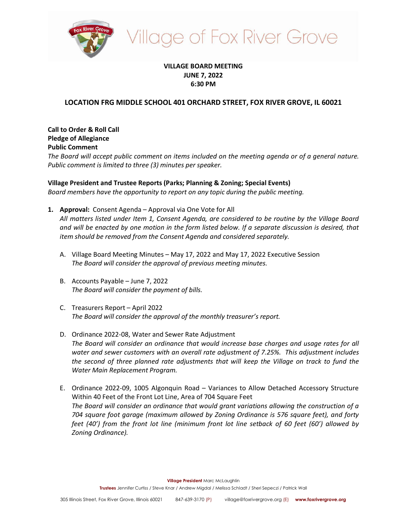

# illage of Fox River Grove

### **VILLAGE BOARD MEETING JUNE 7, 2022 6:30 PM**

## **LOCATION FRG MIDDLE SCHOOL 401 ORCHARD STREET, FOX RIVER GROVE, IL 60021**

**Call to Order & Roll Call Pledge of Allegiance Public Comment**

*The Board will accept public comment on items included on the meeting agenda or of a general nature. Public comment is limited to three (3) minutes per speaker.*

**Village President and Trustee Reports (Parks; Planning & Zoning; Special Events)** *Board members have the opportunity to report on any topic during the public meeting.*

**1. Approval:** Consent Agenda – Approval via One Vote for All

*All matters listed under Item 1, Consent Agenda, are considered to be routine by the Village Board*  and will be enacted by one motion in the form listed below. If a separate discussion is desired, that *item should be removed from the Consent Agenda and considered separately.*

- A. Village Board Meeting Minutes May 17, 2022 and May 17, 2022 Executive Session *The Board will consider the approval of previous meeting minutes.*
- B. Accounts Payable June 7, 2022 *The Board will consider the payment of bills.*
- C. Treasurers Report April 2022 *The Board will consider the approval of the monthly treasurer's report.*
- D. Ordinance 2022-08, Water and Sewer Rate Adjustment *The Board will consider an ordinance that would increase base charges and usage rates for all water and sewer customers with an overall rate adjustment of 7.25%. This adjustment includes the second of three planned rate adjustments that will keep the Village on track to fund the Water Main Replacement Program.*
- E. Ordinance 2022-09, 1005 Algonquin Road Variances to Allow Detached Accessory Structure Within 40 Feet of the Front Lot Line, Area of 704 Square Feet *The Board will consider an ordinance that would grant variations allowing the construction of a 704 square foot garage (maximum allowed by Zoning Ordinance is 576 square feet), and forty feet (40') from the front lot line (minimum front lot line setback of 60 feet (60') allowed by Zoning Ordinance).*